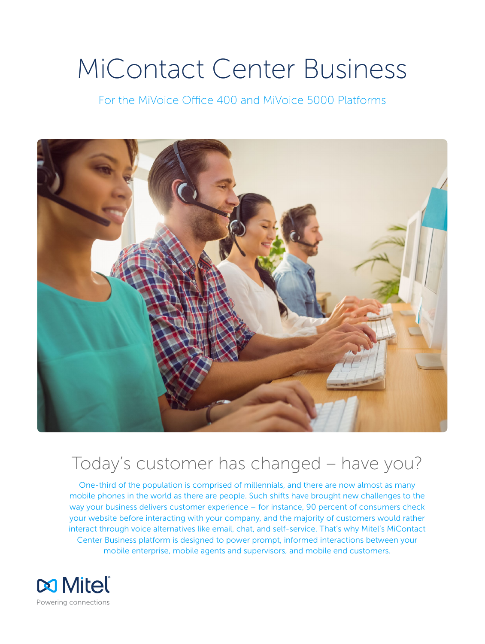# MiContact Center Business

For the MiVoice Office 400 and MiVoice 5000 Platforms



# Today's customer has changed – have you?

One-third of the population is comprised of millennials, and there are now almost as many mobile phones in the world as there are people. Such shifts have brought new challenges to the way your business delivers customer experience – for instance, 90 percent of consumers check your website before interacting with your company, and the majority of customers would rather interact through voice alternatives like email, chat, and self-service. That's why Mitel's MiContact Center Business platform is designed to power prompt, informed interactions between your mobile enterprise, mobile agents and supervisors, and mobile end customers.

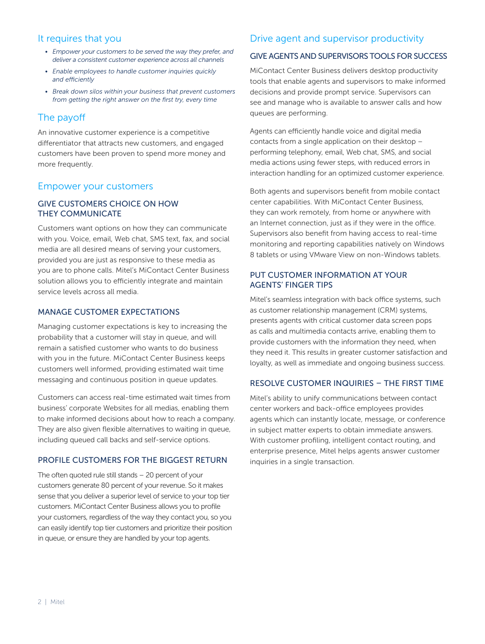## It requires that you

- *• Empower your customers to be served the way they prefer, and deliver a consistent customer experience across all channels*
- *• Enable employees to handle customer inquiries quickly and efficiently*
- *• Break down silos within your business that prevent customers from getting the right answer on the first try, every time*

# The payoff

An innovative customer experience is a competitive differentiator that attracts new customers, and engaged customers have been proven to spend more money and more frequently.

## Empower your customers

#### GIVE CUSTOMERS CHOICE ON HOW THEY COMMUNICATE

Customers want options on how they can communicate with you. Voice, email, Web chat, SMS text, fax, and social media are all desired means of serving your customers, provided you are just as responsive to these media as you are to phone calls. Mitel's MiContact Center Business solution allows you to efficiently integrate and maintain service levels across all media.

#### MANAGE CUSTOMER EXPECTATIONS

Managing customer expectations is key to increasing the probability that a customer will stay in queue, and will remain a satisfied customer who wants to do business with you in the future. MiContact Center Business keeps customers well informed, providing estimated wait time messaging and continuous position in queue updates.

Customers can access real-time estimated wait times from business' corporate Websites for all medias, enabling them to make informed decisions about how to reach a company. They are also given flexible alternatives to waiting in queue, including queued call backs and self-service options.

#### PROFILE CUSTOMERS FOR THE BIGGEST RETURN

The often quoted rule still stands – 20 percent of your customers generate 80 percent of your revenue. So it makes sense that you deliver a superior level of service to your top tier customers. MiContact Center Business allows you to profile your customers, regardless of the way they contact you, so you can easily identify top tier customers and prioritize their position in queue, or ensure they are handled by your top agents.

# Drive agent and supervisor productivity

#### GIVE AGENTS AND SUPERVISORS TOOLS FOR SUCCESS

MiContact Center Business delivers desktop productivity tools that enable agents and supervisors to make informed decisions and provide prompt service. Supervisors can see and manage who is available to answer calls and how queues are performing.

Agents can efficiently handle voice and digital media contacts from a single application on their desktop – performing telephony, email, Web chat, SMS, and social media actions using fewer steps, with reduced errors in interaction handling for an optimized customer experience.

Both agents and supervisors benefit from mobile contact center capabilities. With MiContact Center Business, they can work remotely, from home or anywhere with an Internet connection, just as if they were in the office. Supervisors also benefit from having access to real-time monitoring and reporting capabilities natively on Windows 8 tablets or using VMware View on non-Windows tablets.

#### PUT CUSTOMER INFORMATION AT YOUR AGENTS' FINGER TIPS

Mitel's seamless integration with back office systems, such as customer relationship management (CRM) systems, presents agents with critical customer data screen pops as calls and multimedia contacts arrive, enabling them to provide customers with the information they need, when they need it. This results in greater customer satisfaction and loyalty, as well as immediate and ongoing business success.

#### RESOLVE CUSTOMER INQUIRIES – THE FIRST TIME

Mitel's ability to unify communications between contact center workers and back-office employees provides agents which can instantly locate, message, or conference in subject matter experts to obtain immediate answers. With customer profiling, intelligent contact routing, and enterprise presence, Mitel helps agents answer customer inquiries in a single transaction.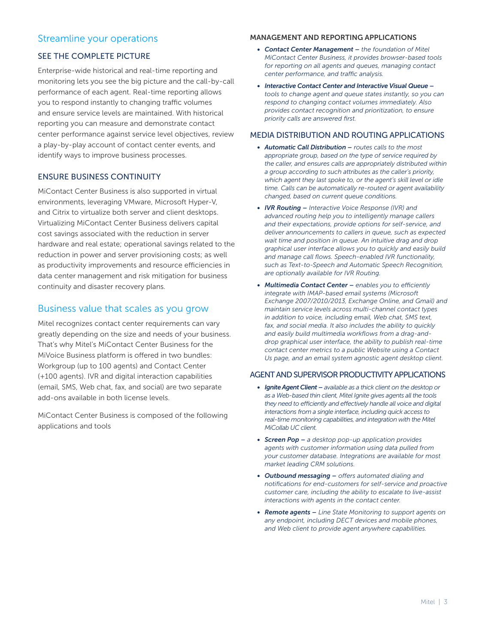# Streamline your operations

#### SEE THE COMPLETE PICTURE

Enterprise-wide historical and real-time reporting and monitoring lets you see the big picture and the call-by-call performance of each agent. Real-time reporting allows you to respond instantly to changing traffic volumes and ensure service levels are maintained. With historical reporting you can measure and demonstrate contact center performance against service level objectives, review a play-by-play account of contact center events, and identify ways to improve business processes.

#### ENSURE BUSINESS CONTINUITY

MiContact Center Business is also supported in virtual environments, leveraging VMware, Microsoft Hyper-V, and Citrix to virtualize both server and client desktops. Virtualizing MiContact Center Business delivers capital cost savings associated with the reduction in server hardware and real estate; operational savings related to the reduction in power and server provisioning costs; as well as productivity improvements and resource efficiencies in data center management and risk mitigation for business continuity and disaster recovery plans.

# Business value that scales as you grow

Mitel recognizes contact center requirements can vary greatly depending on the size and needs of your business. That's why Mitel's MiContact Center Business for the MiVoice Business platform is offered in two bundles: Workgroup (up to 100 agents) and Contact Center (+100 agents). IVR and digital interaction capabilities (email, SMS, Web chat, fax, and social) are two separate add-ons available in both license levels.

MiContact Center Business is composed of the following applications and tools

#### MANAGEMENT AND REPORTING APPLICATIONS

- *• Contact Center Management – the foundation of Mitel MiContact Center Business, it provides browser-based tools for reporting on all agents and queues, managing contact center performance, and traffic analysis.*
- *• Interactive Contact Center and Interactive Visual Queue – tools to change agent and queue states instantly, so you can respond to changing contact volumes immediately. Also provides contact recognition and prioritization, to ensure priority calls are answered first.*

#### MEDIA DISTRIBUTION AND ROUTING APPLICATIONS

- *• Automatic Call Distribution – routes calls to the most appropriate group, based on the type of service required by the caller, and ensures calls are appropriately distributed within a group according to such attributes as the caller's priority, which agent they last spoke to, or the agent's skill level or idle time. Calls can be automatically re-routed or agent availability changed, based on current queue conditions.*
- *• IVR Routing – Interactive Voice Response (IVR) and advanced routing help you to intelligently manage callers and their expectations, provide options for self-service, and deliver announcements to callers in queue, such as expected wait time and position in queue. An intuitive drag and drop graphical user interface allows you to quickly and easily build and manage call flows. Speech-enabled IVR functionality, such as Text-to-Speech and Automatic Speech Recognition, are optionally available for IVR Routing.*
- *• Multimedia Contact Center – enables you to efficiently integrate with IMAP-based email systems (Microsoft Exchange 2007/2010/2013, Exchange Online, and Gmail) and maintain service levels across multi-channel contact types in addition to voice, including email, Web chat, SMS text, fax, and social media. It also includes the ability to quickly and easily build multimedia workflows from a drag-anddrop graphical user interface, the ability to publish real-time contact center metrics to a public Website using a Contact Us page, and an email system agnostic agent desktop client.*

#### AGENT AND SUPERVISOR PRODUCTIVITY APPLICATIONS

- *• Ignite Agent Client – available as a thick client on the desktop or as a Web-based thin client, Mitel Ignite gives agents all the tools they need to efficiently and effectively handle all voice and digital interactions from a single interface, including quick access to real-time monitoring capabilities, and integration with the Mitel MiCollab UC client.*
- *• Screen Pop – a desktop pop-up application provides agents with customer information using data pulled from your customer database. Integrations are available for most market leading CRM solutions.*
- *• Outbound messaging – offers automated dialing and notifications for end-customers for self-service and proactive customer care, including the ability to escalate to live-assist interactions with agents in the contact center.*
- *• Remote agents – Line State Monitoring to support agents on any endpoint, including DECT devices and mobile phones, and Web client to provide agent anywhere capabilities.*